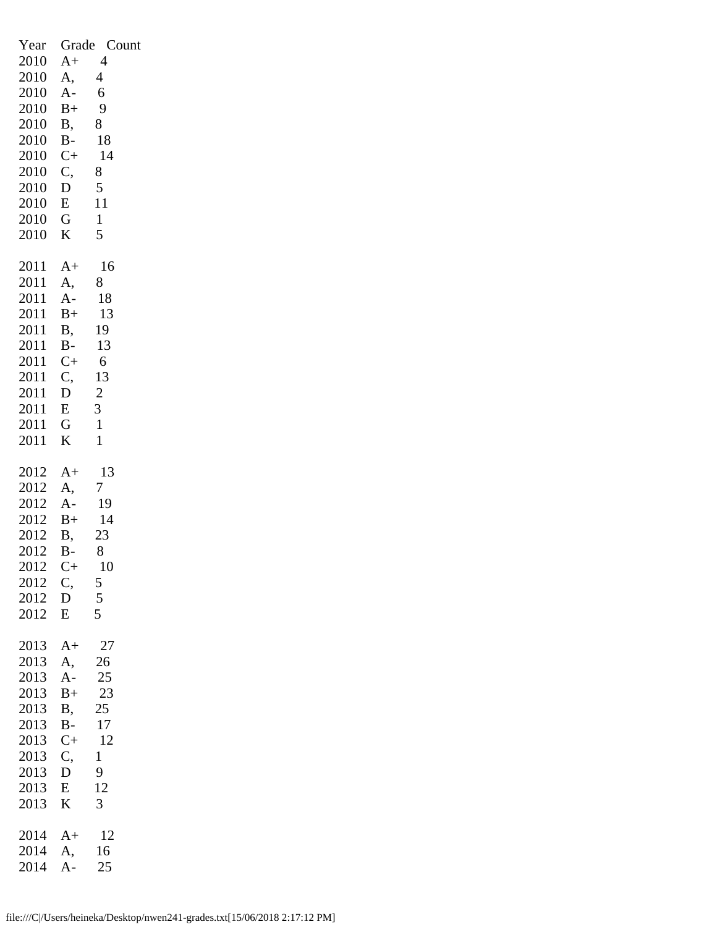| Year<br>2010<br>2010<br>2010<br>2010<br>2010<br>2010<br>2010<br>2010<br>2010<br>2010<br>2010<br>2010 | $A+$<br>A,<br>$A -$<br>$B+$<br>Β,<br>$B-$<br>$C+$<br>$\mathcal{C},$<br>D<br>E<br>$\mathsf G$<br>K | Grade Count<br>4<br>$\overline{4}$<br>6<br>9<br>8<br>18<br>14<br>8<br>5<br>11<br>$\mathbf{1}$<br>5 |
|------------------------------------------------------------------------------------------------------|---------------------------------------------------------------------------------------------------|----------------------------------------------------------------------------------------------------|
| 2011                                                                                                 | $A+$                                                                                              | 16                                                                                                 |
| 2011                                                                                                 | A,                                                                                                | 8                                                                                                  |
| 2011                                                                                                 | $A-$                                                                                              | 18                                                                                                 |
| 2011                                                                                                 | $B+$                                                                                              | 13                                                                                                 |
| 2011                                                                                                 | Β,                                                                                                | 19                                                                                                 |
| 2011                                                                                                 | $B-$                                                                                              | 13                                                                                                 |
| 2011                                                                                                 | $C+$                                                                                              | 6                                                                                                  |
| 2011                                                                                                 | C,                                                                                                | 13                                                                                                 |
| 2011                                                                                                 | D                                                                                                 | $\overline{2}$                                                                                     |
| 2011                                                                                                 | E                                                                                                 | $\overline{3}$                                                                                     |
| 2011                                                                                                 | $\mathbf G$                                                                                       | $\mathbf{1}$                                                                                       |
| 2011                                                                                                 | K                                                                                                 | 1                                                                                                  |
| 2012<br>2012<br>2012<br>2012<br>2012<br>2012<br>2012<br>2012<br>2012<br>2012                         | A+<br>A,<br>$A-$<br>$B+$<br><b>B</b> ,<br>$B -$<br>$C_{\pm}$<br>C,<br>$\mathbf D$<br>E            | 13<br>7<br>19<br>14<br>23<br>8<br>10<br>$\frac{5}{5}$                                              |
| 2013                                                                                                 | $A+$                                                                                              | 27                                                                                                 |
| 2013                                                                                                 | A,                                                                                                | 26                                                                                                 |
| 2013                                                                                                 | $A -$                                                                                             | 25                                                                                                 |
| 2013                                                                                                 | $B+$                                                                                              | 23                                                                                                 |
| 2013                                                                                                 | <b>B</b> ,                                                                                        | 25                                                                                                 |
| 2013                                                                                                 | B-                                                                                                | 17                                                                                                 |
| 2013                                                                                                 | $C+$                                                                                              | 12                                                                                                 |
| 2013                                                                                                 | C,                                                                                                | $\mathbf{1}$                                                                                       |
| 2013                                                                                                 | D                                                                                                 | 9                                                                                                  |
| 2013                                                                                                 | $\overline{\mathrm{E}}$                                                                           | 12                                                                                                 |
| 2013                                                                                                 | K                                                                                                 | 3                                                                                                  |
| 2014                                                                                                 | $A+$                                                                                              | 12                                                                                                 |
| 2014                                                                                                 | A,                                                                                                | 16                                                                                                 |
| 2014                                                                                                 | $\overline{A}$ -                                                                                  | 25                                                                                                 |